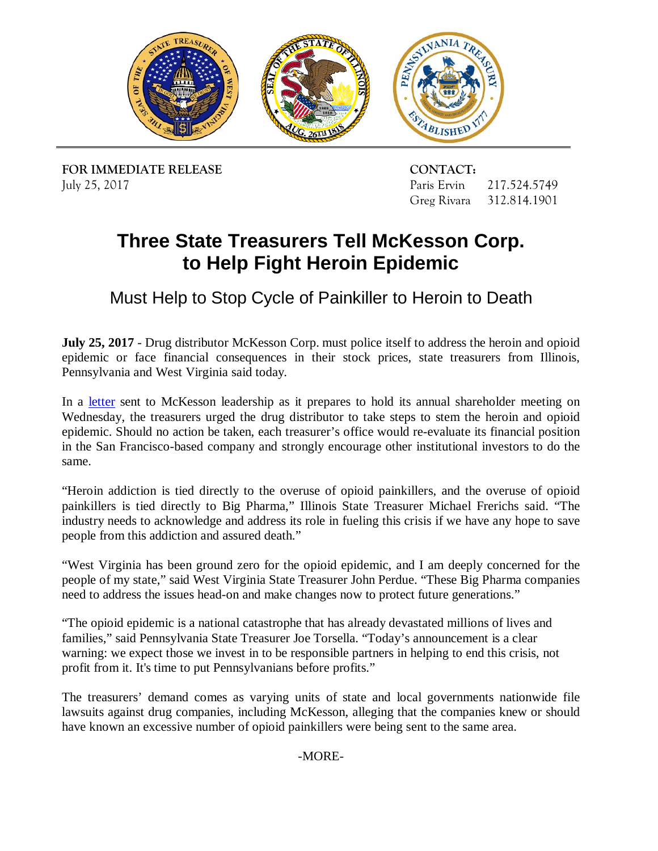

**FOR IMMEDIATE RELEASE CONTACT:** July 25, 2017

Paris Ervin 217.524.5749 Greg Rivara 312.814.1901

## **Three State Treasurers Tell McKesson Corp. to Help Fight Heroin Epidemic**

Must Help to Stop Cycle of Painkiller to Heroin to Death

 **July 25, 2017** - Drug distributor McKesson Corp. must police itself to address the heroin and opioid epidemic or face financial consequences in their stock prices, state treasurers from Illinois, Pennsylvania and West Virginia said today.

 epidemic. Should no action be taken, each treasurer's office would re-evaluate its financial position in the San Francisco-based company and strongly encourage other institutional investors to do the In a [letter](http://illinoistreasurer.gov/TWOCMS/media/doc/McKessonLetter.20170725.pdf) sent to McKesson leadership as it prepares to hold its annual shareholder meeting on Wednesday, the treasurers urged the drug distributor to take steps to stem the heroin and opioid same.

 industry needs to acknowledge and address its role in fueling this crisis if we have any hope to save "Heroin addiction is tied directly to the overuse of opioid painkillers, and the overuse of opioid painkillers is tied directly to Big Pharma," Illinois State Treasurer Michael Frerichs said. "The people from this addiction and assured death."

 "West Virginia has been ground zero for the opioid epidemic, and I am deeply concerned for the people of my state," said West Virginia State Treasurer John Perdue. "These Big Pharma companies need to address the issues head-on and make changes now to protect future generations."

 "The opioid epidemic is a national catastrophe that has already devastated millions of lives and families," said Pennsylvania State Treasurer Joe Torsella. "Today's announcement is a clear warning: we expect those we invest in to be responsible partners in helping to end this crisis, not profit from it. It's time to put Pennsylvanians before profits."

 The treasurers' demand comes as varying units of state and local governments nationwide file have known an excessive number of opioid painkillers were being sent to the same area. lawsuits against drug companies, including McKesson, alleging that the companies knew or should

-MORE